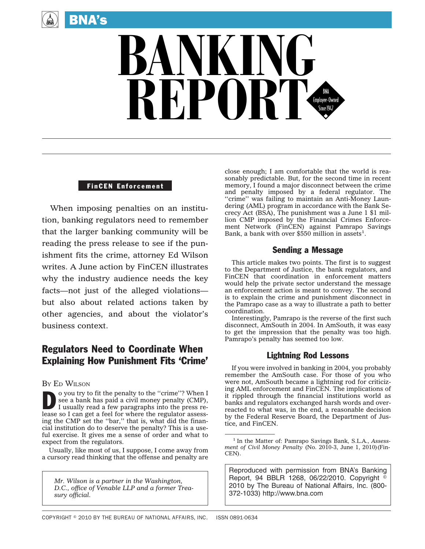

# **BANKING** REPORT

#### FinCEN Enforcement

When imposing penalties on an institution, banking regulators need to remember that the larger banking community will be reading the press release to see if the punishment fits the crime, attorney Ed Wilson writes. A June action by FinCEN illustrates why the industry audience needs the key facts—not just of the alleged violations but also about related actions taken by other agencies, and about the violator's business context.

# Regulators Need to Coordinate When Explaining How Punishment Fits 'Crime'

## BY ED WILSON

o you try to fit the penalty to the "crime"? When I see a bank has paid a civil money penalty (CMP), I usually read a few paragraphs into the press release so I can get a feel for where the regulator assessing the CMP set the ''bar,'' that is, what did the financial institution do to deserve the penalty? This is a useful exercise. It gives me a sense of order and what to expect from the regulators.

Usually, like most of us, I suppose, I come away from a cursory read thinking that the offense and penalty are

*Mr. Wilson is a partner in the Washington, D.C., office of Venable LLP and a former Treasury official.*

close enough; I am comfortable that the world is reasonably predictable. But, for the second time in recent memory, I found a major disconnect between the crime and penalty imposed by a federal regulator. The ''crime'' was failing to maintain an Anti-Money Laundering (AML) program in accordance with the Bank Secrecy Act (BSA), The punishment was a June 1 \$1 million CMP imposed by the Financial Crimes Enforcement Network (FinCEN) against Pamrapo Savings Bank, a bank with over  $$550$  million in assets<sup>1</sup>.

# Sending a Message

This article makes two points. The first is to suggest to the Department of Justice, the bank regulators, and FinCEN that coordination in enforcement matters would help the private sector understand the message an enforcement action is meant to convey. The second is to explain the crime and punishment disconnect in the Pamrapo case as a way to illustrate a path to better coordination.

Interestingly, Pamrapo is the reverse of the first such disconnect, AmSouth in 2004. In AmSouth, it was easy to get the impression that the penalty was too high. Pamrapo's penalty has seemed too low.

# Lightning Rod Lessons

If you were involved in banking in 2004, you probably remember the AmSouth case. For those of you who were not, AmSouth became a lightning rod for criticizing AML enforcement and FinCEN. The implications of it rippled through the financial institutions world as banks and regulators exchanged harsh words and overreacted to what was, in the end, a reasonable decision by the Federal Reserve Board, the Department of Justice, and FinCEN.

Reproduced with permission from BNA's Banking Report, 94 BBLR 1268, 06/22/2010. Copyright  $\textdegree$ 2010 by The Bureau of National Affairs, Inc. (800- 372-1033) http://www.bna.com

<sup>1</sup> In the Matter of: Pamrapo Savings Bank, S.L.A., *Assessment of Civil Money Penalty* (No. 2010-3, June 1, 2010)(Fin-CEN).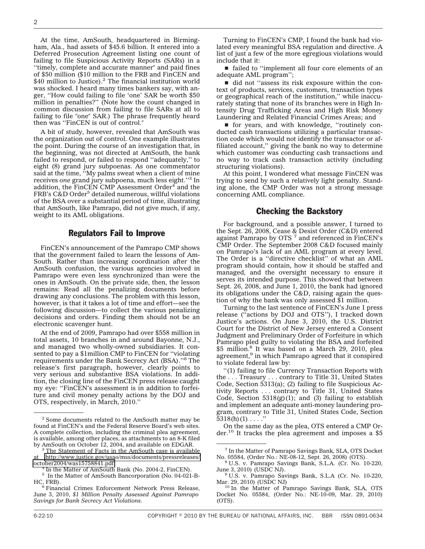At the time, AmSouth, headquartered in Birmingham, Ala., had assets of \$45.6 billion. It entered into a Deferred Prosecution Agreement listing one count of failing to file Suspicious Activity Reports (SARs) in a "timely, complete and accurate manner" and paid fines of \$50 million (\$10 million to the FRB and FinCEN and  $$40$  million to Justice).<sup>2</sup> The financial institution world was shocked. I heard many times bankers say, with anger, ''How could failing to file 'one' SAR be worth \$50 million in penalties?" (Note how the count changed in common discussion from failing to file SARs at all to failing to file "one" SAR.) The phrase frequently heard then was "FinCEN is out of control."

A bit of study, however, revealed that AmSouth was the organization out of control. One example illustrates the point. During the course of an investigation that, in the beginning, was not directed at AmSouth, the bank failed to respond, or failed to respond ''adequately,'' to eight (8) grand jury subpoenas. As one commentator said at the time, ''My palms sweat when a client of mine receives *one* grand jury subpoena, much less eight.''3 In addition, the FinCEN CMP Assessment Order<sup>4</sup> and the FRB's C&D Order<sup>5</sup> detailed numerous, willful violations of the BSA over a substantial period of time, illustrating that AmSouth, like Pamrapo, did not give much, if any, weight to its AML obligations.

#### Regulators Fail to Improve

FinCEN's announcement of the Pamrapo CMP shows that the government failed to learn the lessons of Am-South. Rather than increasing coordination after the AmSouth confusion, the various agencies involved in Pamrapo were even less synchronized than were the ones in AmSouth. On the private side, then, the lesson remains: Read all the penalizing documents before drawing any conclusions. The problem with this lesson, however, is that it takes a lot of time and effort—see the following discussion—to collect the various penalizing decisions and orders. Finding them should not be an electronic scavenger hunt.

At the end of 2009, Pamrapo had over \$558 million in total assets, 10 branches in and around Bayonne, N.J., and managed two wholly-owned subsidiaries. It consented to pay a \$1million CMP to FinCEN for ''violating requirements under the Bank Secrecy Act (BSA).''6 The release's first paragraph, however, clearly points to very serious and substantive BSA violations. In addition, the closing line of the FinCEN press release caught my eye: ''FinCEN's assessment is in addition to forfeiture and civil money penalty actions by the DOJ and OTS, respectively, in March, 2010.''

Turning to FinCEN's CMP, I found the bank had violated every meaningful BSA regulation and directive. A list of just a few of the more egregious violations would include that it:

■ failed to "implement all four core elements of an adequate AML program'';

 $\blacksquare$  did not "assess its risk exposure within the context of products, services, customers, transaction types or geographical reach of the institution,'' while inaccurately stating that none of its branches were in High Intensity Drug Trafficking Areas and High Risk Money Laundering and Related Financial Crimes Areas; and

s for years, and with knowledge, ''routinely conducted cash transactions utilizing a particular transaction code which would not identify the transactor or affiliated account," giving the bank no way to determine which customer was conducting cash transactions and no way to track cash transaction activity (including structuring violations).

At this point, I wondered what message FinCEN was trying to send by such a relatively light penalty. Standing alone, the CMP Order was not a strong message concerning AML compliance.

### Checking the Backstory

For background, and a possible answer, I turned to the Sept. 26, 2008, Cease & Desist Order (C&D) entered<br>against Pamrapo by OTS <sup>7</sup> and referenced in FinCEN's CMP Order. The September 2008 C&D focused mainly on Pamrapo's lack of an AML program at every level. The Order is a ''directive checklist'' of what an AML program should contain, how it should be staffed and managed, and the oversight necessary to ensure it serves its intended purpose. This showed that between Sept. 26, 2008, and June 1, 2010, the bank had ignored its obligations under the C&D, raising again the question of why the bank was only assessed \$1 million.

Turning to the last sentence of FinCEN's June 1 press release (''actions by DOJ and OTS''), I tracked down Justice's actions. On June 3, 2010, the U.S. District Court for the District of New Jersey entered a Consent Judgment and Preliminary Order of Forfeiture in which Pamrapo pled guilty to violating the BSA and forfeited \$5 million.<sup>8</sup> It was based on a March 29, 2010, plea agreement,<sup>9</sup> in which Pamrapo agreed that it conspired to violate federal law by:

''(1) failing to file Currency Transaction Reports with the . . . Treasury . . . contrary to Title 31, United States Code, Section 5313(a); (2) failing to file Suspicious Activity Reports . . . contrary to Title 31, United States Code, Section  $5318(g)(1)$ ; and (3) failing to establish and implement an adequate anti-money laundering program, contrary to Title 31, United States Code, Section  $5318(h)(1) \ldots$ ."

On the same day as the plea, OTS entered a CMP Order.<sup>10</sup> It tracks the plea agreement and imposes a  $$5$ 

<sup>2</sup> Some documents related to the AmSouth matter may be found at FinCEN's and the Federal Reserve Board's web sites. A complete collection, including the criminal plea agreement, is available, among other places, as attachments to an 8-K filed<br>by AmSouth on October 12, 2004, and available on EDGAR.

 $3$  The Statement of Facts in the AmSouth case is available at [http://www.justice.gov/usao/mss/documents/pressreleases/](http://www.justice.gov/usao/mss/documents/pressreleases/october2004/was15758841.pdf)

 $4$  In the Matter of AmSouth Bank (No. 2004-2, FinCEN).

<sup>&</sup>lt;sup>5</sup> In the Matter of AmSouth Bancorporation (No. 04-021-B-HC, FRB).

 $6$  Financial Crimes Enforcement Network Press Release, June 3, 2010, *\$1 Million Penalty Assessed Against Pamrapo Savings for Bank Secrecy Act Violations.*

<sup>&</sup>lt;sup>7</sup> In the Matter of Pamrapo Savings Bank, SLA, OTS Docket No. 05584, (Order No.: NE-08-12, Sept. 26, 2008) (OTS).

 $8$  U.S. v. Pamrapo Savings Bank, S.L.A. (Cr. No. 10-220, June 3, 2010) (USDC NJ).

 $9$  U.S. v. Pamrapo Savings Bank, S.L.A (Cr. No. 10-220, Mar. 29, 2010) (USDC NJ)<br><sup>10</sup> In the Matter of Pamrapo Savings Bank, SLA, OTS

Docket No. 05584, (Order No.: NE-10-09, Mar. 29, 2010) (OTS).